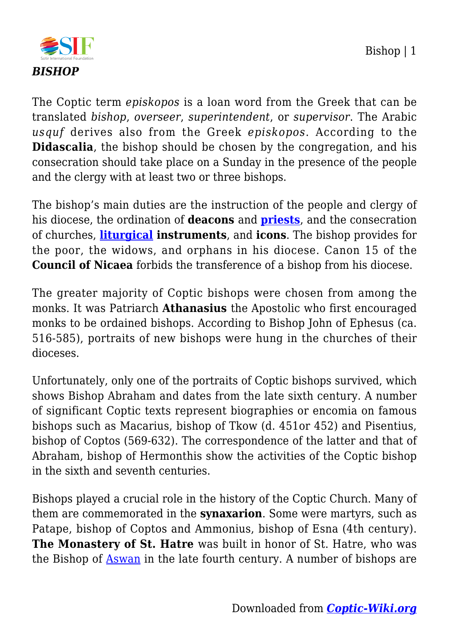Bishop | 1



The Coptic term *episkopos* is a loan word from the Greek that can be translated *bishop*, *overseer*, *superintendent*, or *supervisor*. The Arabic *usquf* derives also from the Greek *episkopos*. According to the **Didascalia**, the bishop should be chosen by the congregation, and his consecration should take place on a Sunday in the presence of the people and the clergy with at least two or three bishops.

The bishop's main duties are the instruction of the people and clergy of his diocese, the ordination of **deacons** and **[priests](https://coptic-wiki.org/tag/priests)**, and the consecration of churches, **[liturgical](https://coptic-wiki.org/tag/liturgical) instruments**, and **icons**. The bishop provides for the poor, the widows, and orphans in his diocese. Canon 15 of the **Council of Nicaea** forbids the transference of a bishop from his diocese.

The greater majority of Coptic bishops were chosen from among the monks. It was Patriarch **Athanasius** the Apostolic who first encouraged monks to be ordained bishops. According to Bishop John of Ephesus (ca. 516-585), portraits of new bishops were hung in the churches of their dioceses.

Unfortunately, only one of the portraits of Coptic bishops survived, which shows Bishop Abraham and dates from the late sixth century. A number of significant Coptic texts represent biographies or encomia on famous bishops such as Macarius, bishop of Tkow (d. 451or 452) and Pisentius, bishop of Coptos (569-632). The correspondence of the latter and that of Abraham, bishop of Hermonthis show the activities of the Coptic bishop in the sixth and seventh centuries.

Bishops played a crucial role in the history of the Coptic Church. Many of them are commemorated in the **synaxarion**. Some were martyrs, such as Patape, bishop of Coptos and Ammonius, bishop of Esna (4th century). **The Monastery of St. Hatre** was built in honor of St. Hatre, who was the Bishop of [Aswan](https://coptic-wiki.org/tag/aswan) in the late fourth century. A number of bishops are